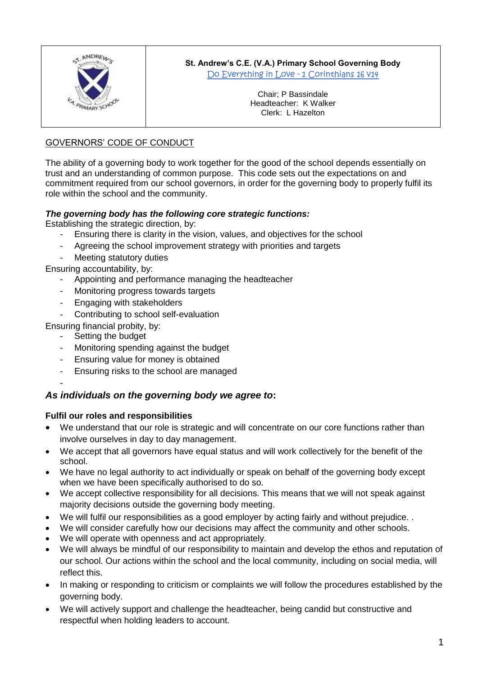

# **St. Andrew's C.E. (V.A.) Primary School Governing Body**

Do Everything in Love - 1 Corinthians 16 V14

Chair; P Bassindale Headteacher: K Walker Clerk: L Hazelton

### GOVERNORS' CODE OF CONDUCT

The ability of a governing body to work together for the good of the school depends essentially on trust and an understanding of common purpose. This code sets out the expectations on and commitment required from our school governors, in order for the governing body to properly fulfil its role within the school and the community.

### *The governing body has the following core strategic functions:*

Establishing the strategic direction, by:

- Ensuring there is clarity in the vision, values, and objectives for the school
- Agreeing the school improvement strategy with priorities and targets
- Meeting statutory duties

Ensuring accountability, by:

- Appointing and performance managing the headteacher
- Monitoring progress towards targets
- Engaging with stakeholders
- Contributing to school self-evaluation

Ensuring financial probity, by:

Setting the budget

-

- Monitoring spending against the budget
- Ensuring value for money is obtained
- Ensuring risks to the school are managed

## *As individuals on the governing body we agree to***:**

### **Fulfil our roles and responsibilities**

- We understand that our role is strategic and will concentrate on our core functions rather than involve ourselves in day to day management.
- We accept that all governors have equal status and will work collectively for the benefit of the school.
- We have no legal authority to act individually or speak on behalf of the governing body except when we have been specifically authorised to do so.
- We accept collective responsibility for all decisions. This means that we will not speak against majority decisions outside the governing body meeting.
- We will fulfil our responsibilities as a good employer by acting fairly and without prejudice. .
- We will consider carefully how our decisions may affect the community and other schools.
- We will operate with openness and act appropriately.
- We will always be mindful of our responsibility to maintain and develop the ethos and reputation of our school. Our actions within the school and the local community, including on social media, will reflect this.
- In making or responding to criticism or complaints we will follow the procedures established by the governing body.
- We will actively support and challenge the headteacher, being candid but constructive and respectful when holding leaders to account.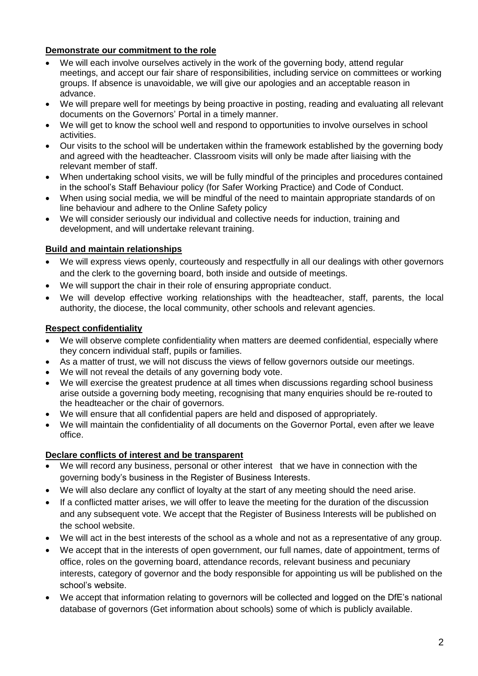### **Demonstrate our commitment to the role**

- We will each involve ourselves actively in the work of the governing body, attend regular meetings, and accept our fair share of responsibilities, including service on committees or working groups. If absence is unavoidable, we will give our apologies and an acceptable reason in advance.
- We will prepare well for meetings by being proactive in posting, reading and evaluating all relevant documents on the Governors' Portal in a timely manner.
- We will get to know the school well and respond to opportunities to involve ourselves in school activities.
- Our visits to the school will be undertaken within the framework established by the governing body and agreed with the headteacher. Classroom visits will only be made after liaising with the relevant member of staff.
- When undertaking school visits, we will be fully mindful of the principles and procedures contained in the school's Staff Behaviour policy (for Safer Working Practice) and Code of Conduct.
- When using social media, we will be mindful of the need to maintain appropriate standards of on line behaviour and adhere to the Online Safety policy
- We will consider seriously our individual and collective needs for induction, training and development, and will undertake relevant training.

### **Build and maintain relationships**

- We will express views openly, courteously and respectfully in all our dealings with other governors and the clerk to the governing board, both inside and outside of meetings.
- We will support the chair in their role of ensuring appropriate conduct.
- We will develop effective working relationships with the headteacher, staff, parents, the local authority, the diocese, the local community, other schools and relevant agencies.

### **Respect confidentiality**

- We will observe complete confidentiality when matters are deemed confidential, especially where they concern individual staff, pupils or families.
- As a matter of trust, we will not discuss the views of fellow governors outside our meetings.
- We will not reveal the details of any governing body vote.
- We will exercise the greatest prudence at all times when discussions regarding school business arise outside a governing body meeting, recognising that many enquiries should be re-routed to the headteacher or the chair of governors.
- We will ensure that all confidential papers are held and disposed of appropriately.
- We will maintain the confidentiality of all documents on the Governor Portal, even after we leave office.

### **Declare conflicts of interest and be transparent**

- We will record any business, personal or other interest that we have in connection with the governing body's business in the Register of Business Interests.
- We will also declare any conflict of loyalty at the start of any meeting should the need arise.
- If a conflicted matter arises, we will offer to leave the meeting for the duration of the discussion and any subsequent vote. We accept that the Register of Business Interests will be published on the school website.
- We will act in the best interests of the school as a whole and not as a representative of any group.
- We accept that in the interests of open government, our full names, date of appointment, terms of office, roles on the governing board, attendance records, relevant business and pecuniary interests, category of governor and the body responsible for appointing us will be published on the school's website.
- We accept that information relating to governors will be collected and logged on the DfE's national database of governors (Get information about schools) some of which is publicly available.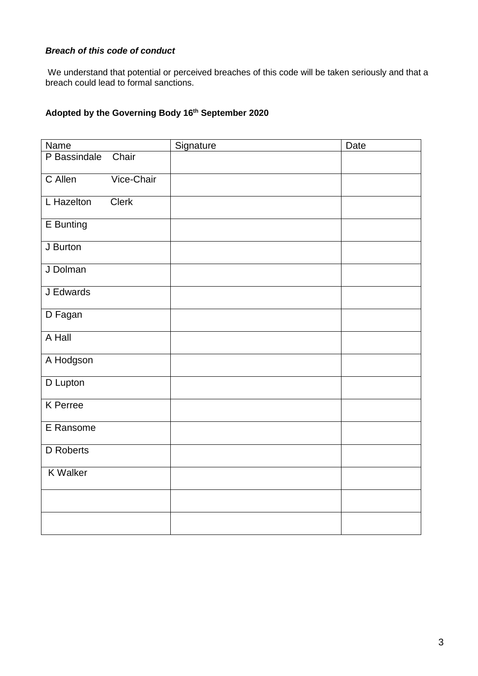### *Breach of this code of conduct*

We understand that potential or perceived breaches of this code will be taken seriously and that a breach could lead to formal sanctions.

#### **Adopted by the Governing Body 16 th September 2020**

| <b>Name</b>     |              | Signature | Date |
|-----------------|--------------|-----------|------|
| P Bassindale    | Chair        |           |      |
| C Allen         | Vice-Chair   |           |      |
| L Hazelton      | <b>Clerk</b> |           |      |
| E Bunting       |              |           |      |
| J Burton        |              |           |      |
| J Dolman        |              |           |      |
| J Edwards       |              |           |      |
| D Fagan         |              |           |      |
| A Hall          |              |           |      |
| A Hodgson       |              |           |      |
| D Lupton        |              |           |      |
| <b>K</b> Perree |              |           |      |
| E Ransome       |              |           |      |
| D Roberts       |              |           |      |
| <b>K</b> Walker |              |           |      |
|                 |              |           |      |
|                 |              |           |      |